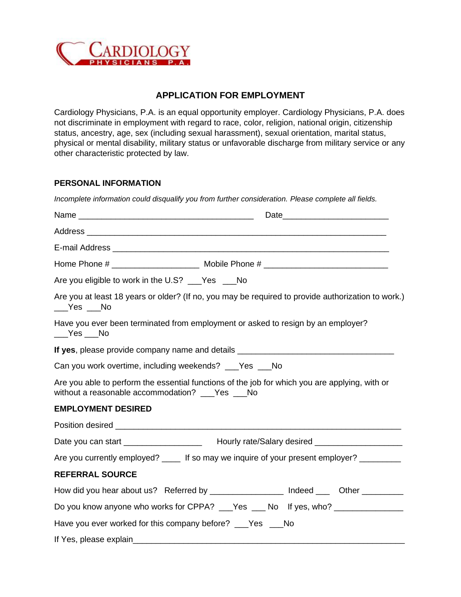

## **APPLICATION FOR EMPLOYMENT**

Cardiology Physicians, P.A. is an equal opportunity employer. Cardiology Physicians, P.A. does not discriminate in employment with regard to race, color, religion, national origin, citizenship status, ancestry, age, sex (including sexual harassment), sexual orientation, marital status, physical or mental disability, military status or unfavorable discharge from military service or any other characteristic protected by law.

## **PERSONAL INFORMATION**

| Incomplete information could disqualify you from further consideration. Please complete all fields.                                                                                                                                                                                                                                                                                                                            |  |
|--------------------------------------------------------------------------------------------------------------------------------------------------------------------------------------------------------------------------------------------------------------------------------------------------------------------------------------------------------------------------------------------------------------------------------|--|
|                                                                                                                                                                                                                                                                                                                                                                                                                                |  |
|                                                                                                                                                                                                                                                                                                                                                                                                                                |  |
|                                                                                                                                                                                                                                                                                                                                                                                                                                |  |
|                                                                                                                                                                                                                                                                                                                                                                                                                                |  |
| Are you eligible to work in the U.S? ___Yes ___No                                                                                                                                                                                                                                                                                                                                                                              |  |
| Are you at least 18 years or older? (If no, you may be required to provide authorization to work.)<br>$\rule{1em}{0.15mm}$ $\qquad$ $\qquad$ $\qquad$ $\blacksquare$ $\blacksquare$ $\blacksquare$ $\blacksquare$ $\blacksquare$ $\blacksquare$ $\blacksquare$ $\blacksquare$ $\blacksquare$                                                                                                                                   |  |
| Have you ever been terminated from employment or asked to resign by an employer?<br>$\rule{1em}{0.15mm}$ $\qquad$ $\qquad$ $\qquad$ $\qquad$ $\qquad$ $\qquad$ $\qquad$ $\qquad$ $\qquad$ $\qquad$ $\qquad$ $\qquad$ $\qquad$ $\qquad$ $\qquad$ $\qquad$ $\qquad$ $\qquad$ $\qquad$ $\qquad$ $\qquad$ $\qquad$ $\qquad$ $\qquad$ $\qquad$ $\qquad$ $\qquad$ $\qquad$ $\qquad$ $\qquad$ $\qquad$ $\qquad$ $\qquad$ $\qquad$ $\$ |  |
| If yes, please provide company name and details ________________________________                                                                                                                                                                                                                                                                                                                                               |  |
| Can you work overtime, including weekends? ___Yes ___No                                                                                                                                                                                                                                                                                                                                                                        |  |
| Are you able to perform the essential functions of the job for which you are applying, with or<br>without a reasonable accommodation? ___Yes ___No                                                                                                                                                                                                                                                                             |  |
| <b>EMPLOYMENT DESIRED</b>                                                                                                                                                                                                                                                                                                                                                                                                      |  |
|                                                                                                                                                                                                                                                                                                                                                                                                                                |  |
| Date you can start ______________________ Hourly rate/Salary desired _________________                                                                                                                                                                                                                                                                                                                                         |  |
| Are you currently employed? ____ If so may we inquire of your present employer? _______                                                                                                                                                                                                                                                                                                                                        |  |
| <b>REFERRAL SOURCE</b>                                                                                                                                                                                                                                                                                                                                                                                                         |  |
| How did you hear about us? Referred by ________________ Indeed ____ Other _______                                                                                                                                                                                                                                                                                                                                              |  |
| Do you know anyone who works for CPPA? ___Yes ___ No lf yes, who? ______________                                                                                                                                                                                                                                                                                                                                               |  |
| Have you ever worked for this company before? ___Yes ___No                                                                                                                                                                                                                                                                                                                                                                     |  |
| If Yes, please explain                                                                                                                                                                                                                                                                                                                                                                                                         |  |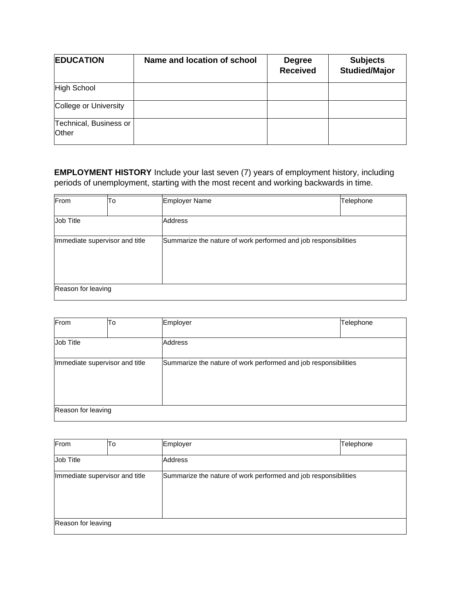| <b>EDUCATION</b>                | Name and location of school | <b>Degree</b><br><b>Received</b> | <b>Subjects</b><br><b>Studied/Major</b> |
|---------------------------------|-----------------------------|----------------------------------|-----------------------------------------|
| High School                     |                             |                                  |                                         |
| College or University           |                             |                                  |                                         |
| Technical, Business or<br>Other |                             |                                  |                                         |

**EMPLOYMENT HISTORY** Include your last seven (7) years of employment history, including periods of unemployment, starting with the most recent and working backwards in time.

| From                           | To | <b>Employer Name</b>                                            | Telephone |
|--------------------------------|----|-----------------------------------------------------------------|-----------|
|                                |    |                                                                 |           |
| Job Title                      |    | Address                                                         |           |
| Immediate supervisor and title |    | Summarize the nature of work performed and job responsibilities |           |
| Reason for leaving             |    |                                                                 |           |

| From                                                                                              | To | Employer | Telephone |
|---------------------------------------------------------------------------------------------------|----|----------|-----------|
|                                                                                                   |    |          |           |
| Job Title                                                                                         |    | Address  |           |
| Immediate supervisor and title<br>Summarize the nature of work performed and job responsibilities |    |          |           |
| Reason for leaving                                                                                |    |          |           |

| From                           | To | Employer                                                        | Telephone |
|--------------------------------|----|-----------------------------------------------------------------|-----------|
| Job Title                      |    | <b>Address</b>                                                  |           |
| Immediate supervisor and title |    | Summarize the nature of work performed and job responsibilities |           |
| Reason for leaving             |    |                                                                 |           |